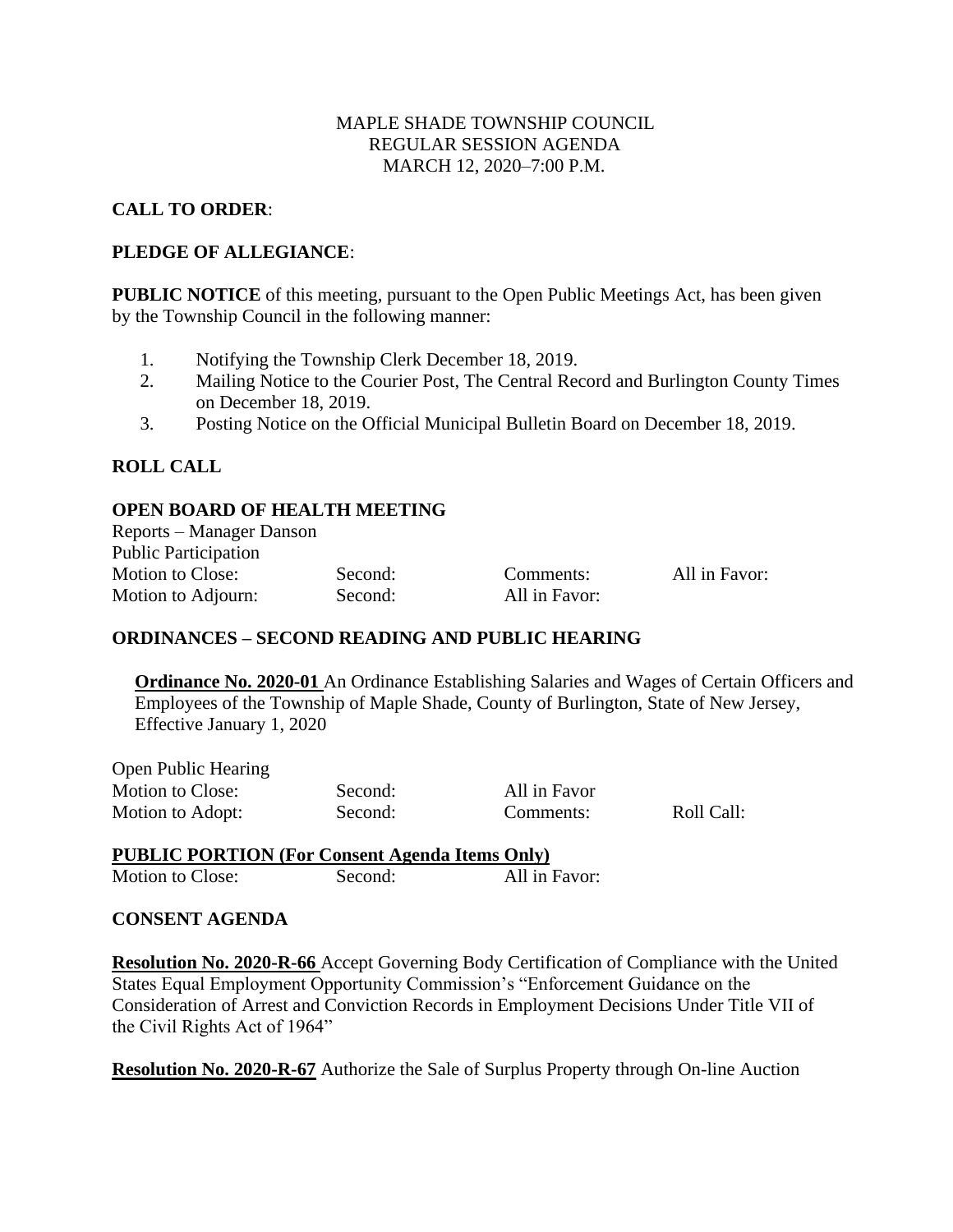## MAPLE SHADE TOWNSHIP COUNCIL REGULAR SESSION AGENDA MARCH 12, 2020–7:00 P.M.

# **CALL TO ORDER**:

## **PLEDGE OF ALLEGIANCE**:

**PUBLIC NOTICE** of this meeting, pursuant to the Open Public Meetings Act, has been given by the Township Council in the following manner:

- 1. Notifying the Township Clerk December 18, 2019.
- 2. Mailing Notice to the Courier Post, The Central Record and Burlington County Times on December 18, 2019.
- 3. Posting Notice on the Official Municipal Bulletin Board on December 18, 2019.

## **ROLL CALL**

#### **OPEN BOARD OF HEALTH MEETING**

Reports – Manager Danson Public Participation Motion to Close: Second: Comments: All in Favor: Motion to Adjourn: Second: All in Favor:

All in Favor

Comments: Roll Call:

## **ORDINANCES – SECOND READING AND PUBLIC HEARING**

**Ordinance No. 2020-01** An Ordinance Establishing Salaries and Wages of Certain Officers and Employees of the Township of Maple Shade, County of Burlington, State of New Jersey, Effective January 1, 2020

| <b>Open Public Hearing</b> |         |
|----------------------------|---------|
| Motion to Close:           | Second: |
| Motion to Adopt:           | Second: |

# **PUBLIC PORTION (For Consent Agenda Items Only)**

Motion to Close: Second: All in Favor:

## **CONSENT AGENDA**

**Resolution No. 2020-R-66** Accept Governing Body Certification of Compliance with the United States Equal Employment Opportunity Commission's "Enforcement Guidance on the Consideration of Arrest and Conviction Records in Employment Decisions Under Title VII of the Civil Rights Act of 1964"

**Resolution No. 2020-R-67** Authorize the Sale of Surplus Property through On-line Auction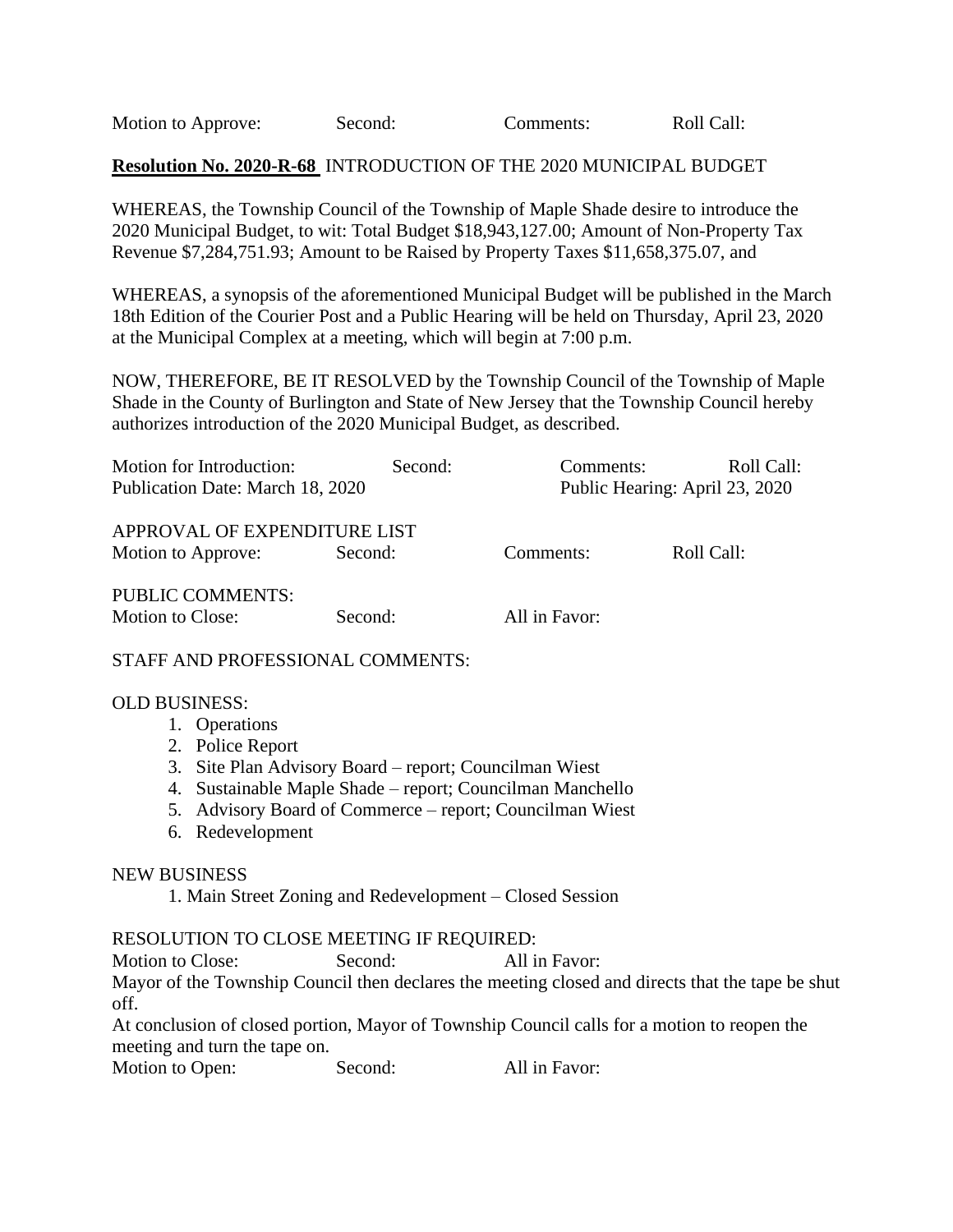Motion to Approve: Second: Comments: Roll Call:

#### **Resolution No. 2020-R-68** INTRODUCTION OF THE 2020 MUNICIPAL BUDGET

WHEREAS, the Township Council of the Township of Maple Shade desire to introduce the 2020 Municipal Budget, to wit: Total Budget \$18,943,127.00; Amount of Non-Property Tax Revenue \$7,284,751.93; Amount to be Raised by Property Taxes \$11,658,375.07, and

WHEREAS, a synopsis of the aforementioned Municipal Budget will be published in the March 18th Edition of the Courier Post and a Public Hearing will be held on Thursday, April 23, 2020 at the Municipal Complex at a meeting, which will begin at 7:00 p.m.

NOW, THEREFORE, BE IT RESOLVED by the Township Council of the Township of Maple Shade in the County of Burlington and State of New Jersey that the Township Council hereby authorizes introduction of the 2020 Municipal Budget, as described.

| Motion for Introduction:         | Second: | Comments:                      | Roll Call: |  |
|----------------------------------|---------|--------------------------------|------------|--|
| Publication Date: March 18, 2020 |         | Public Hearing: April 23, 2020 |            |  |
| APPROVAL OF EXPENDITURE LIST     |         |                                |            |  |
|                                  |         |                                |            |  |
| Motion to Approve:               | Second: | Comments:                      | Roll Call: |  |
| <b>PUBLIC COMMENTS:</b>          |         |                                |            |  |
| <b>Motion to Close:</b>          | Second: | All in Favor:                  |            |  |

#### STAFF AND PROFESSIONAL COMMENTS:

#### OLD BUSINESS:

- 1. Operations
- 2. Police Report
- 3. Site Plan Advisory Board report; Councilman Wiest
- 4. Sustainable Maple Shade report; Councilman Manchello
- 5. Advisory Board of Commerce report; Councilman Wiest
- 6. Redevelopment

#### NEW BUSINESS

1. Main Street Zoning and Redevelopment – Closed Session

#### RESOLUTION TO CLOSE MEETING IF REQUIRED:

Motion to Close: Second: All in Favor:

Mayor of the Township Council then declares the meeting closed and directs that the tape be shut off.

At conclusion of closed portion, Mayor of Township Council calls for a motion to reopen the meeting and turn the tape on.

Motion to Open: Second: All in Favor: